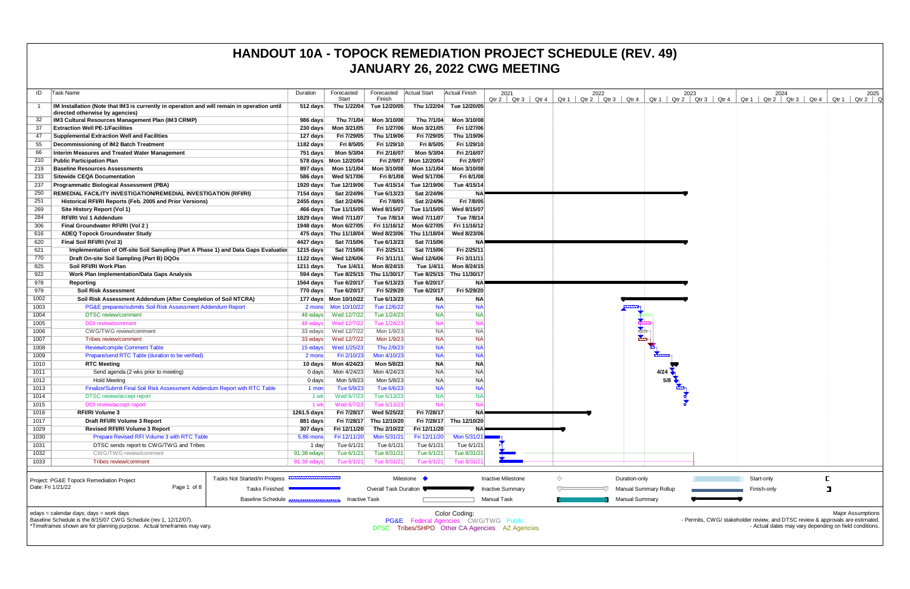| ID                | Task Name                                                                                   | Duration                       | Forecasted<br>Start   | Forecasted<br>Finish     | Actual Start | Actual Finish            | 2021                                            |       |   |                       | 2022 |                       | Otr $1 \mid C$               |
|-------------------|---------------------------------------------------------------------------------------------|--------------------------------|-----------------------|--------------------------|--------------|--------------------------|-------------------------------------------------|-------|---|-----------------------|------|-----------------------|------------------------------|
| -1                | IM Installation (Note that IM3 is currently in operation and will remain in operation until | 512 days                       | Thu 1/22/04           | Tue 12/20/05             | Thu 1/22/04  | Tue 12/20/05             | Qtr 2<br>Qtr 3                                  | Qtr 4 |   | Qtr 1   Qtr 2   Qtr 3 |      | Qtr 4                 |                              |
|                   | directed otherwise by agencies)                                                             |                                |                       |                          |              |                          |                                                 |       |   |                       |      |                       |                              |
| 32                | IM3 Cultural Resources Management Plan (IM3 CRMP)                                           | 986 days                       | Thu 7/1/04            | Mon 3/10/08              | Thu 7/1/04   | Mon 3/10/08              |                                                 |       |   |                       |      |                       |                              |
| 37                | <b>Extraction Well PE-1/Facilities</b>                                                      | $230 \text{ days}$             | Mon 3/21/05           | Fri 1/27/06              | Mon 3/21/05  | Fri 1/27/06              |                                                 |       |   |                       |      |                       |                              |
| 47                | <b>Supplemental Extraction Well and Facilities</b>                                          | 127 days                       | Fri 7/29/05           | Thu 1/19/06              | Fri 7/29/05  | Thu 1/19/06              |                                                 |       |   |                       |      |                       |                              |
| 55                | Decommissioning of IM2 Batch Treatment                                                      | 1182 days                      | Fri 8/5/05            | Fri 1/29/10              | Fri 8/5/05   | Fri 1/29/10              |                                                 |       |   |                       |      |                       |                              |
| 66                | Interim Measures and Treated Water Management                                               | 751 days                       | Mon 5/3/04            | Fri 2/16/07              | Mon 5/3/04   | Fri 2/16/07              |                                                 |       |   |                       |      |                       |                              |
| 210               | <b>Public Participation Plan</b>                                                            |                                | 578 days Mon 12/20/04 | Fri 2/9/07               | Mon 12/20/04 | Fri 2/9/07               |                                                 |       |   |                       |      |                       |                              |
| 219               | <b>Baseline Resources Assessments</b>                                                       | 897 days                       | Mon 11/1/04           | Mon 3/10/08              | Mon 11/1/04  | Mon 3/10/08              |                                                 |       |   |                       |      |                       |                              |
| 233               | <b>Sitewide CEQA Documentation</b>                                                          | 586 days                       | Wed 5/17/06           | Fri 8/1/08               | Wed 5/17/06  | Fri 8/1/08               |                                                 |       |   |                       |      |                       |                              |
| 237               | <b>Programmatic Biological Assessment (PBA)</b>                                             | 1920 days                      | Tue 12/19/06          | Tue 4/15/14              | Tue 12/19/06 | Tue 4/15/14              |                                                 |       |   |                       |      |                       |                              |
| 250               | <b>REMEDIAL FACILITY INVESTIGATION/REMEDIAL INVESTIGATION (RFI/RI)</b>                      | 7154 days                      | Sat 2/24/96           | Tue 6/13/23              | Sat 2/24/96  | <b>NA</b>                |                                                 |       |   |                       |      |                       |                              |
| 251               | Historical RFI/RI Reports (Feb. 2005 and Prior Versions)                                    | 2455 days                      | Sat 2/24/96           | Fri 7/8/05               | Sat 2/24/96  | Fri 7/8/05               |                                                 |       |   |                       |      |                       |                              |
| 269               | Site History Report (Vol 1)                                                                 | 466 days                       | Tue 11/15/05          | Wed 8/15/07              | Tue 11/15/05 | Wed 8/15/07              |                                                 |       |   |                       |      |                       |                              |
| 284               | <b>RFI/RI Vol 1 Addendum</b>                                                                | 1829 days                      | Wed 7/11/07           | Tue 7/8/14               | Wed 7/11/07  | Tue 7/8/14               |                                                 |       |   |                       |      |                       |                              |
| 306               | Final Groundwater RFI/RI (Vol 2)                                                            | 1948 days                      | Mon 6/27/05           | Fri 11/16/12             | Mon 6/27/05  | Fri 11/16/12             |                                                 |       |   |                       |      |                       |                              |
| 616               | <b>ADEQ Topock Groundwater Study</b>                                                        |                                | 475 days Thu 11/18/04 | Wed 8/23/06              | Thu 11/18/04 | Wed 8/23/06              |                                                 |       |   |                       |      |                       |                              |
| 620               | Final Soil RFI/RI (Vol 3)                                                                   | 4427 days                      | Sat 7/15/06           | Tue 6/13/23              | Sat 7/15/06  | <b>NA</b>                |                                                 |       |   |                       |      |                       |                              |
| 621               | Implementation of Off-site Soil Sampling (Part A Phase 1) and Data Gaps Evaluation          | 1215 days                      | Sat 7/15/06           | Fri 2/25/11              | Sat 7/15/06  | Fri 2/25/11              |                                                 |       |   |                       |      |                       |                              |
| 770               | Draft On-site Soil Sampling (Part B) DQOs                                                   | 1122 days                      | Wed 12/6/06           | Fri 3/11/11              | Wed 12/6/06  | Fri 3/11/11              |                                                 |       |   |                       |      |                       |                              |
| 825               | Soil RFI/RI Work Plan                                                                       | $1211$ days                    | Tue 1/4/11            | Mon 8/24/15              | Tue 1/4/11   | Mon 8/24/15              |                                                 |       |   |                       |      |                       |                              |
| 922               | Work Plan Implementation/Data Gaps Analysis                                                 | 594 days                       | Tue 8/25/15           | Thu 11/30/17             | Tue 8/25/15  | Thu 11/30/17             |                                                 |       |   |                       |      |                       |                              |
| 978               | Reporting                                                                                   | 1564 days                      | Tue 6/20/17           | Tue 6/13/23              | Tue 6/20/17  | <b>NA</b>                |                                                 |       |   |                       |      |                       |                              |
| 979               | <b>Soil Risk Assessment</b>                                                                 | 770 days                       | Tue 6/20/17           | Fri 5/29/20              | Tue 6/20/17  | Fri 5/29/20              |                                                 |       |   |                       |      |                       |                              |
| 1002              | Soil Risk Assessment Addendum (After Completion of Soil NTCRA)                              |                                | 177 days Mon 10/10/22 | Tue 6/13/23              | <b>NA</b>    | <b>NA</b>                |                                                 |       |   |                       |      |                       |                              |
| 1003              | PG&E prepares/submits Soil Risk Assessment Addendum Report                                  | 2 mons                         | Mon 10/10/22          | Tue 12/6/22              | <b>NA</b>    | <b>NA</b>                |                                                 |       |   |                       |      |                       |                              |
| 1004              | <b>DTSC</b> review/comment                                                                  | 48 edays                       | Wed 12/7/22           | Tue 1/24/23              | <b>NA</b>    | <b>NA</b>                |                                                 |       |   |                       |      |                       |                              |
| 1005              | <b>DOI</b> review/comment                                                                   | 48 edays                       | Wed 12/7/22           | Tue 1/24/23              | <b>NA</b>    | <b>NA</b>                |                                                 |       |   |                       |      |                       |                              |
| 1006              | CW G/TWG review/comment                                                                     | 33 edays                       | Wed 12/7/22           | Mon 1/9/23               | <b>NA</b>    | <b>NA</b>                |                                                 |       |   |                       |      |                       |                              |
| 1007              | Tribes review/comment                                                                       | 33 edays                       | Wed 12/7/22           | Mon 1/9/23               | <b>NA</b>    | <b>NA</b>                |                                                 |       |   |                       |      |                       |                              |
| 1008              | <b>Review/compile Comment Table</b>                                                         | 15 edays                       | Wed 1/25/23           | Thu 2/9/23               | <b>NA</b>    | <b>NA</b>                |                                                 |       |   |                       |      |                       |                              |
| 1009              | Prepare/send RTC Table (duration to be verified)                                            | 2 mons                         | Fri 2/10/23           | Mon 4/10/23              | <b>NA</b>    | <b>NA</b>                |                                                 |       |   |                       |      |                       |                              |
| 1010              | <b>RTC Meeting</b>                                                                          | 10 days                        | Mon 4/24/23           | Mon 5/8/23               | <b>NA</b>    | <b>NA</b>                |                                                 |       |   |                       |      |                       |                              |
| 1011              | Send agenda (2 wks prior to meeting)                                                        | 0 days                         | Mon 4/24/23           | Mon 4/24/23              | NA           | <b>NA</b>                |                                                 |       |   |                       |      |                       | 4/24                         |
| 1012              | <b>Hold Meeting</b>                                                                         | $0$ days                       | Mon 5/8/23            | Mon 5/8/23               | <b>NA</b>    | <b>NA</b>                |                                                 |       |   |                       |      |                       | 5/8                          |
| 1013              | Finalize/Submit Final Soil Risk Assessment Addendum Report with RTC Table                   |                                | Tue 5/9/23            | Tue 6/6/23               | <b>NA</b>    | <b>NA</b>                |                                                 |       |   |                       |      |                       |                              |
| 1014              |                                                                                             | 1 mon<br>1 wk                  | Wed 6/7/23            | Tue 6/13/23              | <b>NA</b>    | <b>NA</b>                |                                                 |       |   |                       |      |                       |                              |
|                   | DTSC review/accept report                                                                   |                                |                       | Tue 6/13/23              |              | <b>NA</b>                |                                                 |       |   |                       |      |                       |                              |
| 1015<br>1016      | DOI review/accept report<br><b>RFI/RI Volume 3</b>                                          | 1 wk                           | Wed 6/7/23            |                          | <b>NA</b>    | <b>NA</b>                |                                                 |       |   |                       |      |                       |                              |
| 1017              |                                                                                             | 1261.5 days                    | Fri 7/28/17           | Wed 5/25/22              | Fri 7/28/17  | Fri 7/28/17 Thu 12/10/20 |                                                 |       |   |                       |      |                       |                              |
|                   | Draft RFI/RI Volume 3 Report                                                                | 881 days                       |                       | Fri 7/28/17 Thu 12/10/20 |              |                          |                                                 |       |   |                       |      |                       |                              |
| 1029              | Revised RFI/RI Volume 3 Report<br>Prepare Revised RFI Volume 3 with RTC Table               | 307 days                       | Fri 12/11/20          | Thu 2/10/22              | Fri 12/11/20 | <b>NA</b>                |                                                 |       |   |                       |      |                       |                              |
| 1030              |                                                                                             | 5.86 mons                      | Fri 12/11/20          | Mon 5/31/21              | Fri 12/11/20 | Mon 5/31/21              |                                                 |       |   |                       |      |                       |                              |
| 1031              | DTSC sends report to CWG/TWG and Tribes<br>CWG/TWG review/comment                           | 1 day                          | Tue 6/1/21            | Tue 6/1/21               | Tue 6/1/21   | Tue 6/1/21               |                                                 |       |   |                       |      |                       |                              |
| 1032              |                                                                                             | 91.38 edays                    | Tue 6/1/21            | Tue 8/31/21              | Tue 6/1/21   | Tue 8/31/21              |                                                 |       |   |                       |      |                       |                              |
| 1033              | Tribes review/comment                                                                       | 91.38 edays                    | Tue 6/1/21            | Tue 8/31/21              | Tue 6/1/21   | Tue 8/31/21              |                                                 |       |   |                       |      |                       |                              |
|                   |                                                                                             |                                |                       |                          |              |                          |                                                 |       |   |                       |      |                       |                              |
|                   | Tasks Not Started/In Progess<br>Project: PG&E Topock Remediation Project                    | ,,,,,,,,,,,,,,,,,,,,,,,,,,,,,, |                       |                          | Milestone •  |                          | <b>Inactive Milestone</b>                       |       | ◇ |                       |      | Duration-only         |                              |
| Date: Fri 1/21/22 | Page 1 of 8<br><b>Tasks Finished</b>                                                        |                                |                       | Overall Task Duration    |              |                          | <b>Inactive Summary</b>                         |       |   |                       |      |                       | <b>Manual Summary Rollup</b> |
|                   | Baseline Schedule                                                                           |                                | <b>Inactive Task</b>  |                          |              |                          | Manual Task                                     |       |   |                       |      | <b>Manual Summary</b> |                              |
|                   |                                                                                             |                                |                       |                          |              |                          |                                                 |       |   |                       |      |                       |                              |
|                   | edays = calendar days; days = work days                                                     |                                |                       |                          |              | Color Coding:            |                                                 |       |   |                       |      |                       |                              |
|                   | Baseline Schedule is the 8/15/07 CWG Schedule (rev 1, 12/12/07).                            |                                |                       |                          |              |                          | <b>PG&amp;E</b> Federal Agencies CWG/TWG Public |       |   |                       |      |                       |                              |
|                   | *Timeframes shown are for planning purpose. Actual timeframes may vary.                     |                                |                       |                          |              |                          | DTSC Tribes/SHPO Other CA Agencies AZ Agencies  |       |   |                       |      |                       |                              |

| 2021                    | 2022                        |                |                                                      |                                | 2024                 |                | 2025  |
|-------------------------|-----------------------------|----------------|------------------------------------------------------|--------------------------------|----------------------|----------------|-------|
| Qtr 3<br>Qtr 4<br>Qtr 2 | Qtr $2 \mid$ Qtr 3<br>Qtr 1 | Qtr 4          | Qtr 1                                                | $2023$<br>Qtr 2 Qtr 3<br>Qtr 4 | Qtr 2 Qtr 3<br>Qtr 1 | Qtr 4<br>Qtr 1 | Qtr 2 |
|                         |                             |                |                                                      |                                |                      |                |       |
|                         |                             |                |                                                      |                                |                      |                |       |
|                         |                             |                |                                                      |                                |                      |                |       |
|                         |                             |                |                                                      |                                |                      |                |       |
|                         |                             |                |                                                      |                                |                      |                |       |
|                         |                             |                |                                                      |                                |                      |                |       |
|                         |                             |                |                                                      |                                |                      |                |       |
|                         |                             |                |                                                      |                                |                      |                |       |
|                         |                             |                |                                                      |                                |                      |                |       |
|                         |                             |                |                                                      |                                |                      |                |       |
|                         |                             |                |                                                      |                                |                      |                |       |
|                         |                             |                |                                                      |                                |                      |                |       |
|                         |                             |                |                                                      |                                |                      |                |       |
|                         |                             |                |                                                      |                                |                      |                |       |
|                         |                             |                |                                                      |                                |                      |                |       |
|                         |                             |                |                                                      |                                |                      |                |       |
|                         |                             |                |                                                      |                                |                      |                |       |
|                         |                             |                |                                                      |                                |                      |                |       |
|                         |                             |                |                                                      |                                |                      |                |       |
|                         |                             |                |                                                      |                                |                      |                |       |
|                         |                             |                |                                                      |                                |                      |                |       |
|                         |                             |                |                                                      |                                |                      |                |       |
|                         |                             |                |                                                      |                                |                      |                |       |
|                         |                             |                |                                                      |                                |                      |                |       |
|                         |                             |                | $\begin{array}{c}\n4/24 \\ \hline\n5/8\n\end{array}$ |                                |                      |                |       |
|                         |                             |                |                                                      |                                |                      |                |       |
|                         |                             |                |                                                      |                                |                      |                |       |
|                         |                             |                |                                                      |                                |                      |                |       |
|                         |                             |                |                                                      |                                |                      |                |       |
|                         |                             |                |                                                      |                                |                      |                |       |
|                         |                             |                |                                                      |                                |                      |                |       |
|                         |                             |                |                                                      |                                |                      |                |       |
|                         |                             |                |                                                      |                                |                      |                |       |
|                         |                             |                |                                                      |                                |                      |                |       |
| ctive Milestone         | $\diamondsuit$              | Duration-only  |                                                      |                                | Start-only           | Г              |       |
| ctive Summary           | ∪                           |                | Manual Summary Rollup                                |                                | Finish-only          | $\Box$         |       |
| nual Task               |                             | Manual Summary |                                                      |                                |                      |                |       |
|                         |                             |                |                                                      |                                |                      |                |       |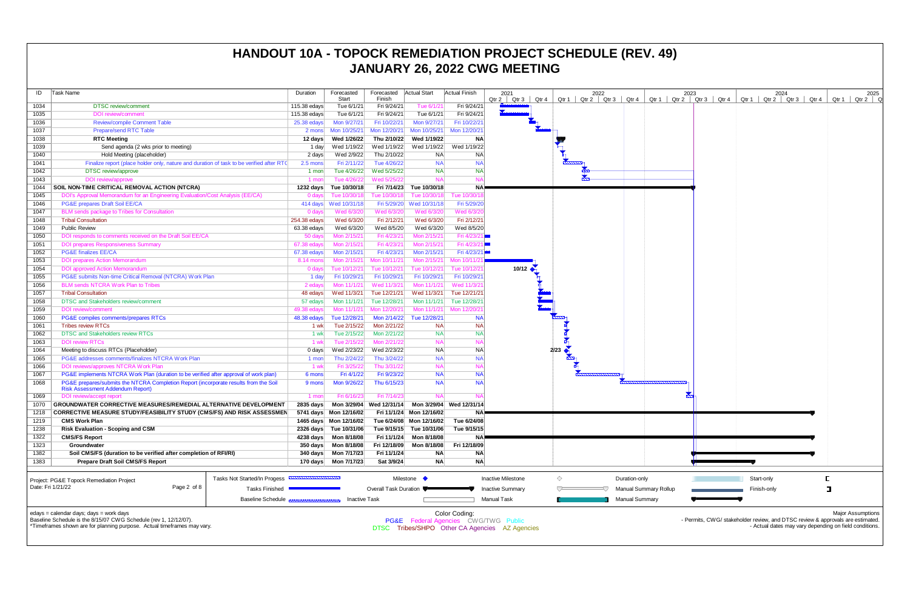| ID                | Task Name                                                                                | Duration                      | Forecasted<br>Start                                             | Forecasted<br>Finish         | <b>Actual Start</b>      | <b>Actual Finish</b>     | 2021<br>Qtr 2<br>Qtr 4<br>Qtr 3                 |      | Qtr $1 \mid$ Qtr 2 | 2022<br>Qtr 3 | Qtr 4                 | Qtr $1 \mid C$               |
|-------------------|------------------------------------------------------------------------------------------|-------------------------------|-----------------------------------------------------------------|------------------------------|--------------------------|--------------------------|-------------------------------------------------|------|--------------------|---------------|-----------------------|------------------------------|
| 1034              | <b>DTSC</b> review/comment                                                               | 115.38 edays                  | Tue 6/1/21                                                      | Fri 9/24/21                  | Tue 6/1/21               | Fri 9/24/21              |                                                 |      |                    |               |                       |                              |
| 1035              | <b>DOI</b> review/comment                                                                | 115.38 edays                  | Tue 6/1/21                                                      | Fri 9/24/21                  | Tue 6/1/21               | Fri 9/24/21              |                                                 |      |                    |               |                       |                              |
| 1036              | <b>Review/compile Comment Table</b>                                                      | $25.38$ edays                 | Mon 9/27/21                                                     | Fri 10/22/21                 | Mon 9/27/21              | Fri 10/22/21             |                                                 |      |                    |               |                       |                              |
| 1037              | <b>Prepare/send RTC Table</b>                                                            | 2 mons                        | Mon 10/25/21                                                    | Mon 12/20/21                 | Mon 10/25/21             | Mon 12/20/21             |                                                 |      |                    |               |                       |                              |
| 1038              | <b>RTC Meeting</b>                                                                       | 12 days                       | Wed 1/26/22                                                     | Thu 2/10/22                  | Wed 1/19/22              | <b>NA</b>                |                                                 |      |                    |               |                       |                              |
| 1039              | Send agenda (2 wks prior to meeting)                                                     | 1 day                         | Wed 1/19/22                                                     | Wed 1/19/22                  | Wed 1/19/22              | Wed 1/19/22              |                                                 |      |                    |               |                       |                              |
| 1040              | Hold Meeting (placeholder)                                                               | 2 days                        | Wed 2/9/22                                                      | Thu 2/10/22                  | <b>NA</b>                | <b>NA</b>                |                                                 |      |                    |               |                       |                              |
| 1041              | Finalize report (place holder only, nature and duration of task to be verified after RTC | 2.5 mons                      | Fri 2/11/22                                                     | Tue 4/26/22                  | <b>NA</b>                | <b>NA</b>                |                                                 |      |                    |               |                       |                              |
| 1042              | DTSC review/approve                                                                      | 1 mon                         | Tue 4/26/22                                                     | Wed 5/25/22                  | <b>NA</b>                | <b>NA</b>                |                                                 |      |                    |               |                       |                              |
| 1043              | DOI review/approve                                                                       | 1 mon                         | Tue 4/26/22                                                     | Wed 5/25/22                  | <b>NA</b>                | <b>NA</b>                |                                                 |      |                    |               |                       |                              |
| 1044              | SOIL NON-TIME CRITICAL REMOVAL ACTION (NTCRA)                                            | 1232 days                     | Tue 10/30/18                                                    | Fri 7/14/23                  | Tue 10/30/18             | <b>NA</b>                |                                                 |      |                    |               |                       |                              |
| 1045              | DOI's Approval Memorandum for an Engineering Evaluation/Cost Analysis (EE/CA)            | $0$ days                      | Tue 10/30/18                                                    | Tue 10/30/18                 | Tue 10/30/18             | Tue 10/30/18             |                                                 |      |                    |               |                       |                              |
| 1046              | PG&E prepares Draft Soil EE/CA                                                           | 414 days                      | Wed 10/31/18                                                    | Fri 5/29/20                  | Wed 10/31/18             | Fri 5/29/20              |                                                 |      |                    |               |                       |                              |
| 1047              | BLM sends package to Tribes for Consultation                                             | 0 days                        | Wed 6/3/20                                                      | Wed 6/3/20                   | Wed 6/3/20               | Wed 6/3/20               |                                                 |      |                    |               |                       |                              |
| 1048              | <b>Tribal Consultation</b>                                                               | 254.38 edays                  | Wed 6/3/20                                                      | Fri 2/12/21                  | Wed 6/3/20               | Fri 2/12/21              |                                                 |      |                    |               |                       |                              |
| 1049              | <b>Public Review</b>                                                                     | 63.38 edays                   | Wed 6/3/20                                                      | Wed 8/5/20                   | Wed 6/3/20               | Wed 8/5/20               |                                                 |      |                    |               |                       |                              |
| 1050              | DOI responds to comments received on the Draft Soil EE/CA                                | 50 days                       | Mon 2/15/21                                                     | Fri 4/23/21                  | Mon 2/15/21              | Fri 4/23/21              |                                                 |      |                    |               |                       |                              |
| 1051              | <b>DOI prepares Responsiveness Summary</b>                                               | 67.38 edays                   | Mon 2/15/21                                                     | Fri 4/23/21                  | Mon 2/15/21              | Fri 4/23/21              |                                                 |      |                    |               |                       |                              |
| 1052              | <b>PG&amp;E finalizes EE/CA</b>                                                          | 67.38 edays                   | Mon 2/15/21                                                     | Fri 4/23/21                  | Mon 2/15/21              | Fri 4/23/21              |                                                 |      |                    |               |                       |                              |
| 1053              | <b>DOI prepares Action Memorandum</b>                                                    | 8.14 mons                     | Mon 2/15/21                                                     | Mon 10/11/21                 | Mon 2/15/21              | Mon 10/11/2              |                                                 |      |                    |               |                       |                              |
| 1054              | <b>DOI</b> approved Action Memorandum                                                    | 0 days                        | Tue 10/12/21                                                    | Tue 10/12/21                 | Tue 10/12/21             | Tue 10/12/21             | 10/12                                           |      |                    |               |                       |                              |
| 1055              | PG&E submits Non-time Critical Removal (NTCRA) Work Plan                                 | 1 day                         | Fri 10/29/21                                                    | Fri 10/29/21                 | Fri 10/29/21             | Fri 10/29/21             |                                                 |      |                    |               |                       |                              |
| 1056              | <b>BLM sends NTCRA Work Plan to Tribes</b>                                               | 2 edays                       | Mon 11/1/21                                                     | Wed 11/3/21                  | Mon 11/1/21              | Wed 11/3/21              |                                                 |      |                    |               |                       |                              |
| 1057              | <b>Tribal Consultation</b>                                                               | 48 edays                      | Wed 11/3/21                                                     | Tue 12/21/21                 | Wed 11/3/21              | Tue 12/21/21             |                                                 |      |                    |               |                       |                              |
| 1058              | <b>DTSC and Stakeholders review/comment</b>                                              | 57 edays                      | Mon 11/1/21                                                     | Tue 12/28/21                 | Mon 11/1/21              | Tue 12/28/21             |                                                 |      |                    |               |                       |                              |
| 1059              | <b>DOI</b> review/comment                                                                | 49.38 edays                   | Mon 11/1/21                                                     | Mon 12/20/21                 | Mon 11/1/21              | Mon 12/20/2              |                                                 |      |                    |               |                       |                              |
| 1060              | PG&E compiles comments/prepares RTCs                                                     | 48.38 edays                   | Tue 12/28/21                                                    | Mon 2/14/22                  | Tue 12/28/21             | <b>NA</b>                |                                                 |      |                    |               |                       |                              |
| 1061              | <b>Tribes review RTCs</b>                                                                | 1 wk                          | Tue 2/15/22                                                     | Mon 2/21/22                  | <b>NA</b>                | <b>NA</b>                |                                                 |      |                    |               |                       |                              |
| 1062              | <b>DTSC and Stakeholders review RTCs</b>                                                 | 1 wk                          | Tue 2/15/22                                                     | Mon 2/21/22                  | <b>NA</b>                | <b>NA</b>                |                                                 |      |                    |               |                       |                              |
| 1063              | <b>DOI review RTCs</b>                                                                   | 1 wk                          | Tue 2/15/22                                                     | Mon 2/21/22                  | <b>NA</b>                | <b>NA</b>                |                                                 |      |                    |               |                       |                              |
| 1064              | Meeting to discuss RTCs (Placeholder)                                                    | $0$ days                      | Wed 2/23/22                                                     | Wed 2/23/22                  | <b>NA</b>                | <b>NA</b>                |                                                 | 2/23 |                    |               |                       |                              |
| 1065              | PG&E addresses comments/finalizes NTCRA Work Plan                                        | 1 mon                         | Thu 2/24/22                                                     | Thu 3/24/22                  | <b>NA</b>                | <b>NA</b>                |                                                 |      |                    |               |                       |                              |
| 1066              | DOI reviews/approves NTCRA Work Plan                                                     | 1 wk                          | Fri 3/25/22                                                     | Thu 3/31/22                  | <b>NA</b>                | <b>NA</b>                |                                                 |      |                    |               |                       |                              |
| 1067              | PG&E implements NTCRA Work Plan (duration to be verified after approval of work plan)    | 6 mons                        | Fri 4/1/22                                                      | Fri 9/23/22                  | <b>NA</b>                | <b>NA</b>                |                                                 |      |                    |               |                       |                              |
| 1068              | PG&E prepares/submits the NTCRA Completion Report (incorporate results from the Soil     | 9 mons                        | Mon 9/26/22                                                     | Thu 6/15/23                  | <b>NA</b>                | <b>NA</b>                |                                                 |      |                    |               |                       |                              |
|                   | <b>Risk Assessment Addendum Report)</b>                                                  |                               |                                                                 |                              |                          |                          |                                                 |      |                    |               |                       |                              |
| 1069              | DOI review/accept report                                                                 | 1 mon                         | Fri 6/16/23                                                     | Fri 7/14/23                  | <b>NA</b>                | <b>NA</b>                |                                                 |      |                    |               |                       |                              |
| 1070              | <b>GROUNDWATER CORRECTIVE MEASURES/REMEDIAL ALTERNATIVE DEVELOPMENT</b>                  | $2835$ days                   |                                                                 | Mon 3/29/04 Wed 12/31/14     |                          | Mon 3/29/04 Wed 12/31/14 |                                                 |      |                    |               |                       |                              |
| 1218              | <b>CORRECTIVE MEASURE STUDY/FEASIBILITY STUDY (CMS/FS) AND RISK ASSESSMEN</b>            |                               | 5741 days Mon 12/16/02                                          |                              | Fri 11/1/24 Mon 12/16/02 | <b>NA</b>                |                                                 |      |                    |               |                       |                              |
| 1219              | <b>CMS Work Plan</b>                                                                     |                               | 1465 days  Mon 12/16/02  Tue 6/24/08  Mon 12/16/02  Tue 6/24/08 |                              |                          |                          |                                                 |      |                    |               |                       |                              |
| 1238              | <b>Risk Evaluation - Scoping and CSM</b>                                                 |                               | 2326 days Tue 10/31/06                                          |                              | Tue 9/15/15 Tue 10/31/06 | Tue 9/15/15              |                                                 |      |                    |               |                       |                              |
| 1322              | <b>CMS/FS Report</b>                                                                     |                               |                                                                 | Fri 11/1/24                  | Mon 8/18/08              | ΝA                       |                                                 |      |                    |               |                       |                              |
| 1323              | Groundwater                                                                              | 350 days                      | Mon 8/18/08                                                     | Fri 12/18/09                 | Mon 8/18/08              | Fri 12/18/09             |                                                 |      |                    |               |                       |                              |
| 1382              | Soil CMS/FS (duration to be verified after completion of RFI/RI)                         | 340 days                      | Mon 7/17/23                                                     | Fri 11/1/24                  | <b>NA</b>                | <b>NA</b>                |                                                 |      |                    |               |                       |                              |
| 1383              | <b>Prepare Draft Soil CMS/FS Report</b>                                                  | 170 days                      | Mon 7/17/23                                                     | Sat 3/9/24                   | <b>NA</b>                | <b>NA</b>                |                                                 |      |                    |               |                       |                              |
|                   |                                                                                          |                               |                                                                 |                              |                          |                          |                                                 |      |                    |               |                       |                              |
|                   | Tasks Not Started/In Progess<br>Project: PG&E Topock Remediation Project                 | ,,,,,,,,,,,,,,,,,,,,,,,,,,,,, |                                                                 |                              | Milestone •              |                          | <b>Inactive Milestone</b>                       | ◇    |                    |               | Duration-only         |                              |
| Date: Fri 1/21/22 | Page 2 of 8<br><b>Tasks Finished</b>                                                     |                               |                                                                 | <b>Overall Task Duration</b> |                          |                          | <b>Inactive Summary</b>                         |      |                    |               |                       | <b>Manual Summary Rollup</b> |
|                   |                                                                                          |                               |                                                                 |                              |                          |                          |                                                 |      |                    |               |                       |                              |
|                   | <b>Baseline Schedule</b>                                                                 |                               | <b>Inactive Task</b>                                            |                              |                          |                          | Manual Task                                     |      |                    |               | <b>Manual Summary</b> |                              |
|                   | edays = calendar days; days = work days                                                  |                               |                                                                 |                              |                          | Color Coding:            |                                                 |      |                    |               |                       |                              |
|                   | Baseline Schedule is the 8/15/07 CWG Schedule (rev 1, 12/12/07).                         |                               |                                                                 |                              |                          |                          | <b>PG&amp;E</b> Federal Agencies CWG/TWG Public |      |                    |               |                       |                              |
|                   | *Timeframes shown are for planning purpose. Actual timeframes may vary.                  |                               |                                                                 |                              |                          |                          | DTSC Tribes/SHPO Other CA Agencies AZ Agencies  |      |                    |               |                       |                              |

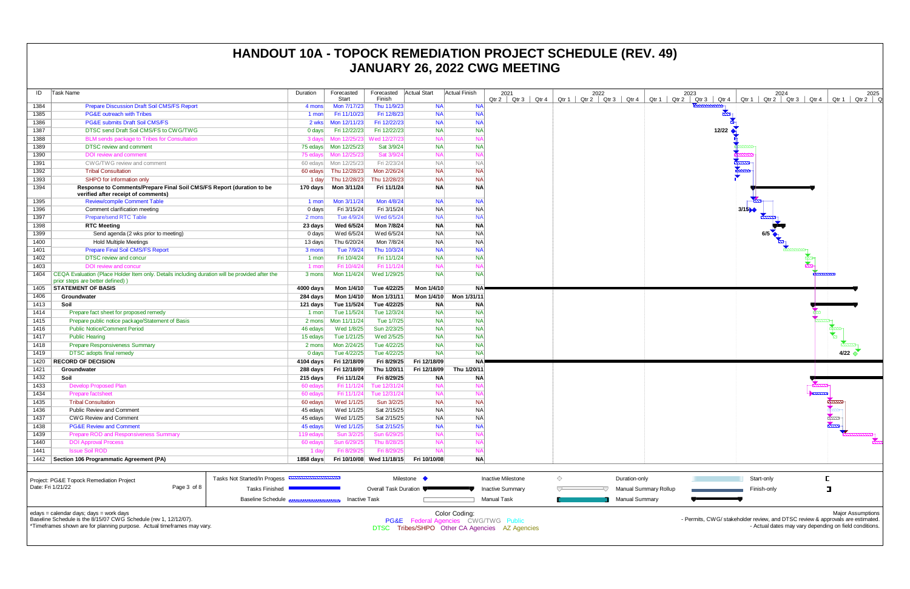| ID   | Task Name                                                                                                    | Duration    | Forecasted   | Forecasted   Actual Start |              | <b>Actual Finish</b> | 2021                     | 2022                          |       |
|------|--------------------------------------------------------------------------------------------------------------|-------------|--------------|---------------------------|--------------|----------------------|--------------------------|-------------------------------|-------|
|      |                                                                                                              |             | Start        | Finish                    |              |                      | $Qtr 3$ $Qtr 4$<br>Qtr 2 | $Qtr 1$ Qtr 2   Qtr 3   Qtr 4 | Qtr 1 |
| 1384 | <b>Prepare Discussion Draft Soil CMS/FS Report</b>                                                           | 4 mons      | Mon 7/17/23  | Thu 11/9/23               | <b>NA</b>    | <b>NA</b>            |                          |                               |       |
| 1385 | <b>PG&amp;E</b> outreach with Tribes                                                                         | 1 mon       | Fri 11/10/23 | Fri 12/8/23               | <b>NA</b>    | <b>NA</b>            |                          |                               |       |
| 1386 | <b>PG&amp;E submits Draft Soil CMS/FS</b>                                                                    | 2 wks       | Mon 12/11/23 | Fri 12/22/23              | <b>NA</b>    | <b>NA</b>            |                          |                               |       |
| 1387 | DTSC send Draft Soil CMS/FS to CWG/TWG                                                                       | 0 days      | Fri 12/22/23 | Fri 12/22/23              | <b>NA</b>    | <b>NA</b>            |                          |                               |       |
| 1388 | BLM sends package to Tribes for Consultation                                                                 | 3 days      | Mon 12/25/23 | Wed 12/27/23              | <b>NA</b>    | <b>NA</b>            |                          |                               |       |
| 1389 | <b>DTSC</b> review and comment                                                                               | 75 edavs    | Mon 12/25/23 | Sat 3/9/24                | <b>NA</b>    | <b>NA</b>            |                          |                               |       |
| 1390 | DOI review and comment                                                                                       | 75 edays    | Mon 12/25/23 | Sat 3/9/24                | <b>NA</b>    | <b>NA</b>            |                          |                               |       |
| 1391 | CWG/TWG review and comment                                                                                   | 60 edays    | Mon 12/25/23 | Fri 2/23/24               | <b>NA</b>    | <b>NA</b>            |                          |                               |       |
| 1392 | <b>Tribal Consultation</b>                                                                                   | 60 edays    | Thu 12/28/23 | Mon 2/26/24               | <b>NA</b>    | <b>NA</b>            |                          |                               |       |
| 1393 | SHPO for information only                                                                                    | 1 day       | Thu 12/28/23 | Thu 12/28/23              | <b>NA</b>    | <b>NA</b>            |                          |                               |       |
| 1394 | Response to Comments/Prepare Final Soil CMS/FS Report (duration to be<br>verified after receipt of comments) | 170 days    | Mon 3/11/24  | Fri 11/1/24               | <b>NA</b>    | <b>NA</b>            |                          |                               |       |
| 1395 | <b>Review/compile Comment Table</b>                                                                          | 1 mon       | Mon 3/11/24  | Mon 4/8/24                | <b>NA</b>    | <b>NA</b>            |                          |                               |       |
| 1396 | Comment clarification meeting                                                                                | 0 days      | Fri 3/15/24  | Fri 3/15/24               | <b>NA</b>    | <b>NA</b>            |                          |                               |       |
| 1397 | <b>Prepare/send RTC Table</b>                                                                                | 2 mons      | Tue 4/9/24   | Wed 6/5/24                | <b>NA</b>    | <b>NA</b>            |                          |                               |       |
| 1398 | <b>RTC Meeting</b>                                                                                           | 23 days     | Wed 6/5/24   | Mon 7/8/24                | <b>NA</b>    | <b>NA</b>            |                          |                               |       |
| 1399 | Send agenda (2 wks prior to meeting)                                                                         | 0 days      | Wed 6/5/24   | Wed 6/5/24                | <b>NA</b>    | <b>NA</b>            |                          |                               |       |
| 1400 | <b>Hold Multiple Meetings</b>                                                                                | 13 days     | Thu 6/20/24  | Mon 7/8/24                | <b>NA</b>    | <b>NA</b>            |                          |                               |       |
| 1401 | <b>Prepare Final Soil CMS/FS Report</b>                                                                      | 3 mons      | Tue 7/9/24   | Thu 10/3/24               | <b>NA</b>    | <b>NA</b>            |                          |                               |       |
| 1402 | <b>DTSC</b> review and concur                                                                                | 1 mon       | Fri 10/4/24  | Fri 11/1/24               | <b>NA</b>    | <b>NA</b>            |                          |                               |       |
| 1403 | DOI review and concur                                                                                        | 1 mon       | Fri 10/4/24  | Fri 11/1/24               | <b>NA</b>    | <b>NA</b>            |                          |                               |       |
| 1404 | CEQA Evaluation (Place Holder Item only. Details including duration will be provided after the               | 3 mons      | Mon 11/4/24  | Wed 1/29/25               | <b>NA</b>    | <b>NA</b>            |                          |                               |       |
|      | prior steps are better defined))                                                                             |             |              |                           |              |                      |                          |                               |       |
| 1405 | <b>STATEMENT OF BASIS</b>                                                                                    | 4000 days   | Mon 1/4/10   | Tue 4/22/25               | Mon 1/4/10   | <b>NA</b>            |                          |                               |       |
| 1406 | Groundwater                                                                                                  | 284 days    | Mon 1/4/10   | Mon 1/31/11               | Mon 1/4/10   | Mon 1/31/11          |                          |                               |       |
| 1413 | Soil                                                                                                         | 121 days    | Tue 11/5/24  | Tue 4/22/25               | <b>NA</b>    | <b>NA</b>            |                          |                               |       |
| 1414 | Prepare fact sheet for proposed remedy                                                                       | 1 mon       | Tue 11/5/24  | Tue 12/3/24               | <b>NA</b>    | <b>NA</b>            |                          |                               |       |
| 1415 | Prepare public notice package/Statement of Basis                                                             | 2 mons      | Mon 11/11/24 | Tue 1/7/25                | NA           | <b>NA</b>            |                          |                               |       |
| 1416 | <b>Public Notice/Comment Period</b>                                                                          | 46 edays    | Wed 1/8/25   | Sun 2/23/25               | <b>NA</b>    | <b>NA</b>            |                          |                               |       |
| 1417 | <b>Public Hearing</b>                                                                                        | 15 edays    | Tue 1/21/25  | Wed 2/5/25                | NA           | <b>NA</b>            |                          |                               |       |
| 1418 | <b>Prepare Responsiveness Summary</b>                                                                        | 2 mons      | Mon 2/24/25  | Tue 4/22/25               | <b>NA</b>    | <b>NA</b>            |                          |                               |       |
| 1419 | <b>DTSC</b> adopts final remedy                                                                              | 0 days      | Tue 4/22/25  | Tue 4/22/25               | NA           | <b>NA</b>            |                          |                               |       |
| 1420 | <b>RECORD OF DECISION</b>                                                                                    | 4104 days   | Fri 12/18/09 | Fri 8/29/25               | Fri 12/18/09 | <b>NA</b>            |                          |                               |       |
| 1421 | Groundwater                                                                                                  | 288 days    | Fri 12/18/09 | Thu 1/20/11               | Fri 12/18/09 | Thu 1/20/11          |                          |                               |       |
| 1432 | Soil                                                                                                         | 215 days    | Fri 11/1/24  | Fri 8/29/25               | <b>NA</b>    | <b>NA</b>            |                          |                               |       |
| 1433 | <b>Develop Proposed Plan</b>                                                                                 | 60 edays    | Fri 11/1/24  | Tue 12/31/24              | <b>NA</b>    | <b>NA</b>            |                          |                               |       |
| 1434 | Prepare factsheet                                                                                            | 60 edays    | Fri 11/1/24  | Tue 12/31/24              | <b>NA</b>    | <b>NA</b>            |                          |                               |       |
| 1435 | <b>Tribal Consultation</b>                                                                                   | 60 edays    | Wed 1/1/25   | Sun 3/2/25                | <b>NA</b>    | <b>NA</b>            |                          |                               |       |
| 1436 | Public Review and Comment                                                                                    | 45 edays    | Wed 1/1/25   | Sat 2/15/25               | <b>NA</b>    | <b>NA</b>            |                          |                               |       |
| 1437 | <b>CWG Review and Comment</b>                                                                                | 45 edays    | Wed 1/1/25   | Sat 2/15/25               | <b>NA</b>    | <b>NA</b>            |                          |                               |       |
| 1438 | <b>PG&amp;E Review and Comment</b>                                                                           | 45 edays    | Wed 1/1/25   | Sat 2/15/25               | <b>NA</b>    | <b>NA</b>            |                          |                               |       |
| 1439 | Prepare ROD and Responsiveness Summary                                                                       | 119 edays   | Sun 3/2/25   | Sun 6/29/25               | <b>NA</b>    | <b>NA</b>            |                          |                               |       |
| 1440 | <b>DOI Approval Process</b>                                                                                  | 60 edays    | Sun 6/29/25  | Thu 8/28/25               | <b>NA</b>    | <b>NA</b>            |                          |                               |       |
| 1441 | <b>Issue Soil ROD</b>                                                                                        | 1 day       | Fri 8/29/25  | Fri 8/29/25               | <b>NA</b>    | <b>NA</b>            |                          |                               |       |
| 1442 | Section 106 Programmatic Agreement (PA)                                                                      | $1858$ days |              | Fri 10/10/08 Wed 11/18/15 | Fri 10/10/08 | <b>NA</b>            |                          |                               |       |
|      |                                                                                                              |             |              |                           |              |                      |                          |                               |       |



| Project: PG&E Topock Remediation Project                                                                                                                                               |             | Tasks Not Started/In Progess <b>ANNUMBER INCORPORATION</b> | Milestone (             | Inactive Milestone                                                                                                 | Duration-only         |
|----------------------------------------------------------------------------------------------------------------------------------------------------------------------------------------|-------------|------------------------------------------------------------|-------------------------|--------------------------------------------------------------------------------------------------------------------|-----------------------|
| Date: Fri 1/21/22                                                                                                                                                                      | Page 3 of 8 | Tasks Finished                                             | Overall Task Duration ● | <b>Inactive Summary</b>                                                                                            | Manual Summary Rollup |
|                                                                                                                                                                                        |             | Baseline Schedule <b>Bassessessessessesses</b>             | Inactive Task           | Manual Task                                                                                                        | Manual Summarv        |
| edays = calendar days; days = work days<br>Baseline Schedule is the 8/15/07 CWG Schedule (rev 1, 12/12/07).<br>*Timeframes shown are for planning purpose. Actual timeframes may vary. |             |                                                            |                         | Color Coding:<br><b>PG&amp;E</b> Federal Agencies CWG/TWG Public<br>DTSC Tribes/SHPO Other CA Agencies AZ Agencies |                       |

DTSC Tribes/SHPO Other CA Agencies AZ Agencies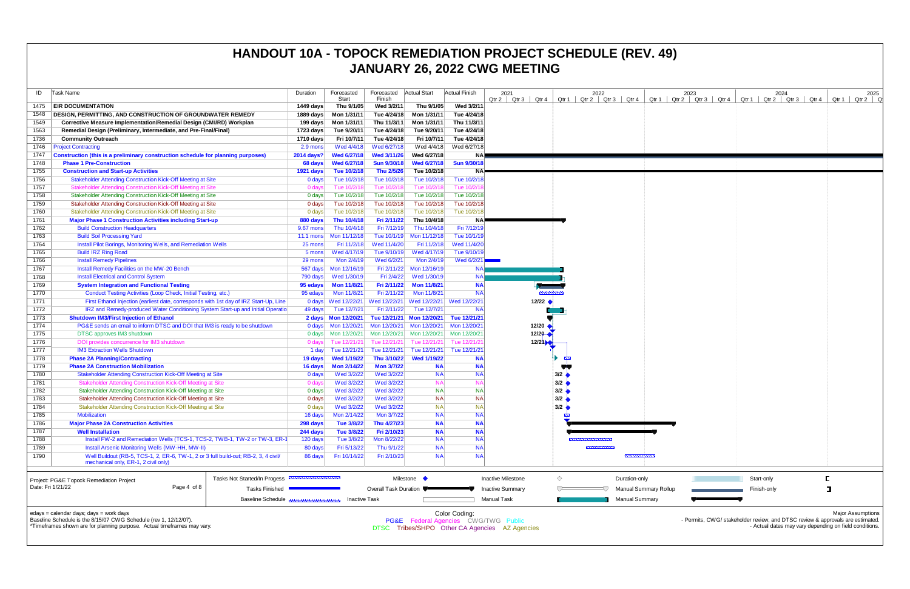| ID           | Task Name                                                                                                                                                | Duration                       | Forecasted<br>Start         | Forecasted<br>Finish       | Actual Start                | Actual Finish          | 2021<br>Qtr 4<br>$Qtr 2$ $Qtr 3$               |           | 2022<br>$Qtr 1$ Qtr 2 Qtr 3 Qtr 4 |                    | Qtr $1 \mid C$               |
|--------------|----------------------------------------------------------------------------------------------------------------------------------------------------------|--------------------------------|-----------------------------|----------------------------|-----------------------------|------------------------|------------------------------------------------|-----------|-----------------------------------|--------------------|------------------------------|
| 1475         | <b>EIR DOCUMENTATION</b>                                                                                                                                 | 1449 days                      | Thu 9/1/05                  | Wed 3/2/11                 | Thu 9/1/05                  | Wed 3/2/11             |                                                |           |                                   |                    |                              |
| 1548         | DESIGN, PERMITTING, AND CONSTRUCTION OF GROUNDWATER REMEDY                                                                                               | 1889 days                      | Mon 1/31/11                 | Tue 4/24/18                | Mon 1/31/11                 | Tue 4/24/18            |                                                |           |                                   |                    |                              |
| 1549         | Corrective Measure Implementation/Remedial Design (CMI/RD) Workplan                                                                                      | 199 days                       | Mon 1/31/11                 | Thu 11/3/11                | Mon 1/31/11                 | Thu 11/3/11            |                                                |           |                                   |                    |                              |
| 1563         | Remedial Design (Preliminary, Intermediate, and Pre-Final/Final)                                                                                         | 1723 days                      | Tue 9/20/11                 | Tue 4/24/18                | Tue 9/20/11                 | Tue 4/24/18            |                                                |           |                                   |                    |                              |
| 1736         | <b>Community Outreach</b>                                                                                                                                | 1710 days                      | Fri 10/7/11                 | Tue 4/24/18                | Fri 10/7/11                 | Tue 4/24/18            |                                                |           |                                   |                    |                              |
| 1746         | <b>Project Contracting</b>                                                                                                                               | 2.9 mons                       | Wed 4/4/18                  | Wed 6/27/18                | Wed 4/4/18                  | Wed 6/27/18            |                                                |           |                                   |                    |                              |
| 1747         | Construction (this is a preliminary construction schedule for planning purposes)                                                                         | 2014 days?                     | <b>Wed 6/27/18</b>          | Wed 3/11/26                | Wed 6/27/18                 | <b>NA</b>              |                                                |           |                                   |                    |                              |
| 1748         | <b>Phase 1 Pre-Construction</b>                                                                                                                          | 68 days                        | <b>Wed 6/27/18</b>          | <b>Sun 9/30/18</b>         | Wed 6/27/18                 | <b>Sun 9/30/18</b>     |                                                |           |                                   |                    |                              |
| 1755         | <b>Construction and Start-up Activities</b>                                                                                                              | 1921 days                      | Tue 10/2/18                 | Thu 2/5/26                 | Tue 10/2/18                 | <b>NA</b>              |                                                |           |                                   |                    |                              |
| 1756         | <b>Stakeholder Attending Construction Kick-Off Meeting at Site</b>                                                                                       | $0$ days                       | Tue 10/2/18                 | Tue 10/2/18                | Tue 10/2/18                 | Tue 10/2/18            |                                                |           |                                   |                    |                              |
| 1757         | Stakeholder Attending Construction Kick-Off Meeting at Site                                                                                              | 0 days                         | Tue 10/2/18                 | Tue 10/2/18                | Tue 10/2/18                 | Tue 10/2/18            |                                                |           |                                   |                    |                              |
| 1758         | Stakeholder Attending Construction Kick-Off Meeting at Site                                                                                              | 0 days                         | Tue 10/2/18                 | Tue 10/2/18                | Tue 10/2/18                 | Tue 10/2/18            |                                                |           |                                   |                    |                              |
| 1759         | Stakeholder Attending Construction Kick-Off Meeting at Site                                                                                              | 0 days                         | Tue 10/2/18                 | Tue 10/2/18                | Tue 10/2/18                 | Tue 10/2/18            |                                                |           |                                   |                    |                              |
| 1760         | Stakeholder Attending Construction Kick-Off Meeting at Site                                                                                              | 0 days                         | Tue 10/2/18                 | Tue 10/2/18                | Tue 10/2/18                 | Tue 10/2/18            |                                                |           |                                   |                    |                              |
| 1761         | <b>Major Phase 1 Construction Activities including Start-up</b>                                                                                          | 880 days                       | Thu 10/4/18                 | Fri 2/11/22                | Thu 10/4/18                 | <b>NA</b>              |                                                |           |                                   |                    |                              |
| 1762         | <b>Build Construction Headquarters</b>                                                                                                                   | 9.67 mons                      | Thu 10/4/18                 | Fri 7/12/19                | Thu 10/4/18                 | Fri 7/12/19            |                                                |           |                                   |                    |                              |
| 1763         | <b>Build Soil Processing Yard</b>                                                                                                                        | $11.1$ mons                    | Mon 11/12/18                | Tue 10/1/19                | Mon 11/12/18                | Tue 10/1/19            |                                                |           |                                   |                    |                              |
| 1764         | Install Pilot Borings, Monitoring Wells, and Remediation Wells                                                                                           | 25 mons                        | Fri 11/2/18                 | Wed 11/4/20                | Fri 11/2/18                 | Wed 11/4/20            |                                                |           |                                   |                    |                              |
| 1765         | <b>Build IRZ Ring Road</b>                                                                                                                               | 5 mons                         | Wed 4/17/19                 | Tue 9/10/19                | Wed 4/17/19                 | Tue 9/10/19            |                                                |           |                                   |                    |                              |
| 1766         | <b>Install Remedy Pipelines</b>                                                                                                                          | 29 mons                        | Mon 2/4/19                  | Wed 6/2/21                 | Mon 2/4/19                  | Wed 6/2/21             |                                                |           |                                   |                    |                              |
| 1767         | Install Remedy Facilities on the MW-20 Bench                                                                                                             |                                | Mon 12/16/19                | Fri 2/11/22                | Mon 12/16/19                | <b>NA</b>              |                                                |           |                                   |                    |                              |
| 1768         | <b>Install Electrical and Control System</b>                                                                                                             | 567 days<br>790 days           | Wed 1/30/19                 | Fri 2/4/22                 | Wed 1/30/19                 | <b>NA</b>              |                                                |           |                                   |                    |                              |
|              | <b>System Integration and Functional Testing</b>                                                                                                         |                                |                             | Fri 2/11/22                | <b>Mon 11/8/21</b>          | <b>NA</b>              |                                                |           |                                   |                    |                              |
| 1769<br>1770 |                                                                                                                                                          | 95 edays                       | <b>Mon 11/8/21</b>          | Fri 2/11/22                | Mon 11/8/21                 | <b>NA</b>              |                                                |           |                                   |                    |                              |
| 1771         | Conduct Testing Activities (Loop Check, Initial Testing, etc.)<br>First Ethanol Injection (earliest date, corresponds with 1st day of IRZ Start-Up, Line | 95 edays                       | Mon 11/8/21                 | Wed 12/22/21               |                             |                        | $12/22$ $\bullet$                              |           |                                   |                    |                              |
| 1772         |                                                                                                                                                          | $0$ days                       | Wed 12/22/21<br>Tue 12/7/21 | Fri 2/11/22                | Wed 12/22/21<br>Tue 12/7/21 | Wed 12/22/21           |                                                |           |                                   |                    |                              |
|              | IRZ and Remedy-produced Water Conditioning System Start-up and Initial Operatio                                                                          | 49 days                        |                             |                            |                             | <b>NA</b>              |                                                |           |                                   |                    |                              |
| 1773         | <b>Shutdown IM3/First Injection of Ethanol</b>                                                                                                           | 2 days                         | Mon 12/20/21                | Tue 12/21/21               | Mon 12/20/21                | Tue 12/21/21           |                                                |           |                                   |                    |                              |
| 1774         | PG&E sends an email to inform DTSC and DOI that IM3 is ready to be shutdown                                                                              | 0 days                         | Mon 12/20/21                | Mon 12/20/21               | Mon 12/20/21                | Mon 12/20/21           | 12/20 $\leftrightarrow$                        |           |                                   |                    |                              |
| 1775         | DTSC approves IM3 shutdown                                                                                                                               | $0 \text{ days}$               | Mon 12/20/21                | Mon 12/20/21               | Mon 12/20/21                | Mon 12/20/21           | 12/20                                          |           |                                   |                    |                              |
| 1776         | DOI provides concurrence for IM3 shutdown                                                                                                                | 0 days                         | Tue 12/21/21                | Tue 12/21/21               | Tue 12/21/21                | Tue 12/21/21           | 12/24                                          |           |                                   |                    |                              |
| 1777         | <b>IM3 Extraction Wells Shutdown</b>                                                                                                                     | 1 day                          | Tue 12/21/21                | Tue 12/21/21               | Tue 12/21/21                | Tue 12/21/21           |                                                |           |                                   |                    |                              |
| 1778         | <b>Phase 2A Planning/Contracting</b>                                                                                                                     | 19 days                        | <b>Wed 1/19/22</b>          | Thu 3/10/22                | <b>Wed 1/19/22</b>          | <b>NA</b>              |                                                | <b>NV</b> |                                   |                    |                              |
| 1779         | <b>Phase 2A Construction Mobilization</b>                                                                                                                | 16 days                        | <b>Mon 2/14/22</b>          | <b>Mon 3/7/22</b>          | <b>NA</b>                   | <b>NA</b>              |                                                |           |                                   |                    |                              |
| 1780         | Stakeholder Attending Construction Kick-Off Meeting at Site                                                                                              | 0 days                         | Wed 3/2/22                  | Wed 3/2/22                 | <b>NA</b>                   | <b>NA</b>              |                                                | 3/2       |                                   |                    |                              |
| 1781         | Stakeholder Attending Construction Kick-Off Meeting at Site                                                                                              | 0 days                         | Wed 3/2/22                  | Wed 3/2/22                 | <b>NA</b>                   | <b>NA</b>              |                                                | 3/2       |                                   |                    |                              |
| 1782         | Stakeholder Attending Construction Kick-Off Meeting at Site                                                                                              | 0 days                         | Wed 3/2/22                  | Wed 3/2/22                 | <b>NA</b>                   | <b>NA</b>              |                                                | 3/2       |                                   |                    |                              |
| 1783         | Stakeholder Attending Construction Kick-Off Meeting at Site                                                                                              | 0 days                         | Wed 3/2/22                  | Wed 3/2/22                 | <b>NA</b>                   | <b>NA</b>              |                                                | 3/2       |                                   |                    |                              |
| 1784<br>1785 | Stakeholder Attending Construction Kick-Off Meeting at Site<br><b>Mobilization</b>                                                                       | 0 days                         | Wed 3/2/22<br>Mon 2/14/22   | Wed 3/2/22<br>Mon 3/7/22   | <b>NA</b><br><b>NA</b>      | <b>NA</b><br><b>NA</b> |                                                | 3/2<br>52 |                                   |                    |                              |
|              |                                                                                                                                                          | 16 days                        |                             |                            |                             |                        |                                                |           |                                   |                    |                              |
| 1786         | <b>Major Phase 2A Construction Activities</b>                                                                                                            | 298 days                       | Tue 3/8/22                  | Thu 4/27/23                | <b>NA</b>                   | <b>NA</b>              |                                                |           |                                   |                    |                              |
| 1787<br>1788 | <b>Well Installation</b><br>Install FW-2 and Remediation Wells (TCS-1, TCS-2, TWB-1, TW-2 or TW-3, ER-1                                                  | 244 days                       | Tue 3/8/22<br>Tue 3/8/22    | Fri 2/10/23<br>Mon 8/22/22 | <b>NA</b>                   | <b>NA</b><br><b>NA</b> |                                                |           | ,,,,,,,,,,,,,,,,,,,,,,,,,,        |                    |                              |
| 1789         | Install Arsenic Monitoring Wells (MW-HH, MW-II)                                                                                                          | 120 days<br>80 days            | Fri 5/13/22                 | Thu 9/1/22                 | <b>NA</b><br><b>NA</b>      | <b>NA</b>              |                                                |           |                                   |                    |                              |
| 1790         | Well Buildout (RB-5, TCS-1, 2, ER-6, TW-1, 2 or 3 full build-out; RB-2, 3, 4 civil/                                                                      |                                |                             | Fri 2/10/23                |                             | <b>NA</b>              |                                                |           |                                   | ,,,,,,,,,,,,,,,,,, |                              |
|              | mechanical only, ER-1, 2 civil only)                                                                                                                     | 86 days                        | Fri 10/14/22                |                            | <b>NA</b>                   |                        |                                                |           |                                   |                    |                              |
|              |                                                                                                                                                          | ,,,,,,,,,,,,,,,,,,,,,,,,,,,,,, |                             |                            |                             |                        |                                                |           |                                   |                    |                              |
|              | Tasks Not Started/In Progess<br>Project: PG&E Topock Remediation Project<br>Date: Fri 1/21/22<br>Page 4 of 8                                             |                                |                             |                            | Milestone •                 |                        | <b>Inactive Milestone</b>                      | ♦         |                                   | Duration-only      |                              |
|              | <b>Tasks Finished</b><br><b>Baseline Schedule</b>                                                                                                        |                                | <b>Inactive Task</b>        | Overall Task Duration      |                             |                        | <b>Inactive Summary</b><br><b>Manual Task</b>  |           |                                   | Manual Summary     | <b>Manual Summary Rollup</b> |
|              |                                                                                                                                                          |                                |                             |                            |                             |                        |                                                |           |                                   |                    |                              |
|              | $edays = calendar days$ ; $days = work days$                                                                                                             |                                |                             |                            |                             | Color Coding:          |                                                |           |                                   |                    |                              |
|              | Baseline Schedule is the 8/15/07 CWG Schedule (rev 1, 12/12/07).                                                                                         |                                |                             |                            |                             |                        | PG&E Federal Agencies CWG/TWG Public           |           |                                   |                    |                              |
|              | *Timeframes shown are for planning purpose. Actual timeframes may vary.                                                                                  |                                |                             |                            |                             |                        | DTSC Tribes/SHPO Other CA Agencies AZ Agencies |           |                                   |                    |                              |

| 2021<br>$Qtr 2$ $Qtr 3$<br>Qtr 4<br>Qtr $1$ | $2022$<br>Qtr 2 Qtr 3<br>Qtr 4<br>Qtr 1        | $2023$<br>Qtr 2 Qtr 3<br>Qtr <sub>4</sub> | 2024<br>$Qtr 2$ Qtr 3<br>Qtr 4<br>Qtr 1 | 2025<br>Qtr 1<br>Qtr 2 |
|---------------------------------------------|------------------------------------------------|-------------------------------------------|-----------------------------------------|------------------------|
|                                             |                                                |                                           |                                         |                        |
|                                             |                                                |                                           |                                         |                        |
|                                             |                                                |                                           |                                         |                        |
|                                             |                                                |                                           |                                         |                        |
|                                             |                                                |                                           |                                         |                        |
|                                             |                                                |                                           |                                         |                        |
|                                             |                                                |                                           |                                         |                        |
|                                             |                                                |                                           |                                         |                        |
| $\overline{m}$                              |                                                |                                           |                                         |                        |
| 12/22 ♦                                     |                                                |                                           |                                         |                        |
| 12/20<br>$12/20 -$                          |                                                |                                           |                                         |                        |
| 12/24                                       |                                                |                                           |                                         |                        |
|                                             |                                                |                                           |                                         |                        |
| 3/2<br>$3/2$<br>$3/2$                       |                                                |                                           |                                         |                        |
| $3/2$<br>3/2                                |                                                |                                           |                                         |                        |
| <b>RA</b>                                   |                                                |                                           |                                         |                        |
|                                             | ,,,,,,,,,,,,,,,,,,                             |                                           |                                         |                        |
|                                             | <b><i><u><u><b>MUNITERINAL</b></u></u></i></b> |                                           |                                         |                        |
|                                             |                                                |                                           |                                         |                        |
| ♦<br>ctive Milestone<br>ctive Summary<br>∪  | Duration-only<br>Manual Summary Rollup         |                                           | Start-only<br>Finish-only               | Г<br>$\blacksquare$    |

DTSC Tribes/SHPO Other CA Agencies AZ Agencies